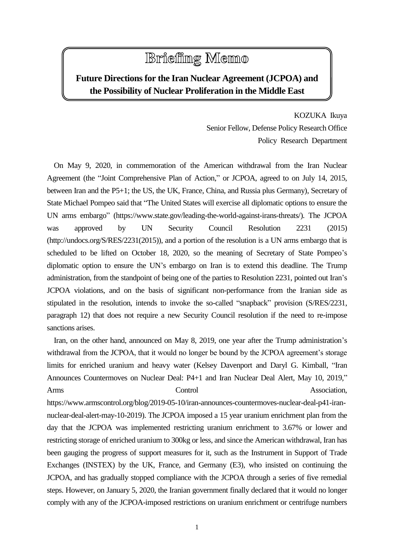## **Briefing Memo**

## **Future Directions for the Iran Nuclear Agreement (JCPOA) and the Possibility of Nuclear Proliferation in the Middle East**

KOZUKA Ikuya Senior Fellow, Defense Policy Research Office Policy Research Department

On May 9, 2020, in commemoration of the American withdrawal from the Iran Nuclear Agreement (the "Joint Comprehensive Plan of Action," or JCPOA, agreed to on July 14, 2015, between Iran and the P5+1; the US, the UK, France, China, and Russia plus Germany), Secretary of State Michael Pompeo said that "The United States will exercise all diplomatic options to ensure the UN arms embargo" (https://www.state.gov/leading-the-world-against-irans-threats/). The JCPOA was approved by UN Security Council Resolution 2231 (2015) (http://undocs.org/S/RES/2231(2015)), and a portion of the resolution is a UN arms embargo that is scheduled to be lifted on October 18, 2020, so the meaning of Secretary of State Pompeo's diplomatic option to ensure the UN's embargo on Iran is to extend this deadline. The Trump administration, from the standpoint of being one of the parties to Resolution 2231, pointed out Iran's JCPOA violations, and on the basis of significant non-performance from the Iranian side as stipulated in the resolution, intends to invoke the so-called "snapback" provision (S/RES/2231, paragraph 12) that does not require a new Security Council resolution if the need to re-impose sanctions arises.

Iran, on the other hand, announced on May 8, 2019, one year after the Trump administration's withdrawal from the JCPOA, that it would no longer be bound by the JCPOA agreement's storage limits for enriched uranium and heavy water (Kelsey Davenport and Daryl G. Kimball, "Iran Announces Countermoves on Nuclear Deal: P4+1 and Iran Nuclear Deal Alert, May 10, 2019," Arms Control Control Association,

https://www.armscontrol.org/blog/2019-05-10/iran-announces-countermoves-nuclear-deal-p41-irannuclear-deal-alert-may-10-2019). The JCPOA imposed a 15 year uranium enrichment plan from the day that the JCPOA was implemented restricting uranium enrichment to 3.67% or lower and restricting storage of enriched uranium to 300kg or less, and since the American withdrawal, Iran has been gauging the progress of support measures for it, such as the Instrument in Support of Trade Exchanges (INSTEX) by the UK, France, and Germany (E3), who insisted on continuing the JCPOA, and has gradually stopped compliance with the JCPOA through a series of five remedial steps. However, on January 5, 2020, the Iranian government finally declared that it would no longer comply with any of the JCPOA-imposed restrictions on uranium enrichment or centrifuge numbers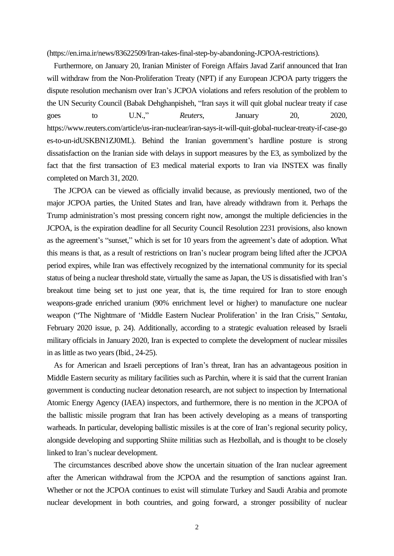(https://en.irna.ir/news/83622509/Iran-takes-final-step-by-abandoning-JCPOA-restrictions).

Furthermore, on January 20, Iranian Minister of Foreign Affairs Javad Zarif announced that Iran will withdraw from the Non-Proliferation Treaty (NPT) if any European JCPOA party triggers the dispute resolution mechanism over Iran's JCPOA violations and refers resolution of the problem to the UN Security Council (Babak Dehghanpisheh, "Iran says it will quit global nuclear treaty if case goes to U.N.," *Reuters*, January 20, 2020, https://www.reuters.com/article/us-iran-nuclear/iran-says-it-will-quit-global-nuclear-treaty-if-case-go es-to-un-idUSKBN1ZJ0ML). Behind the Iranian government's hardline posture is strong dissatisfaction on the Iranian side with delays in support measures by the E3, as symbolized by the fact that the first transaction of E3 medical material exports to Iran via INSTEX was finally completed on March 31, 2020.

The JCPOA can be viewed as officially invalid because, as previously mentioned, two of the major JCPOA parties, the United States and Iran, have already withdrawn from it. Perhaps the Trump administration's most pressing concern right now, amongst the multiple deficiencies in the JCPOA, is the expiration deadline for all Security Council Resolution 2231 provisions, also known as the agreement's "sunset," which is set for 10 years from the agreement's date of adoption. What this means is that, as a result of restrictions on Iran's nuclear program being lifted after the JCPOA period expires, while Iran was effectively recognized by the international community for its special status of being a nuclear threshold state, virtually the same as Japan, the US is dissatisfied with Iran's breakout time being set to just one year, that is, the time required for Iran to store enough weapons-grade enriched uranium (90% enrichment level or higher) to manufacture one nuclear weapon ("The Nightmare of 'Middle Eastern Nuclear Proliferation' in the Iran Crisis," *Sentaku*, February 2020 issue, p. 24). Additionally, according to a strategic evaluation released by Israeli military officials in January 2020, Iran is expected to complete the development of nuclear missiles in as little as two years (Ibid., 24-25).

As for American and Israeli perceptions of Iran's threat, Iran has an advantageous position in Middle Eastern security as military facilities such as Parchin, where it is said that the current Iranian government is conducting nuclear detonation research, are not subject to inspection by International Atomic Energy Agency (IAEA) inspectors, and furthermore, there is no mention in the JCPOA of the ballistic missile program that Iran has been actively developing as a means of transporting warheads. In particular, developing ballistic missiles is at the core of Iran's regional security policy, alongside developing and supporting Shiite militias such as Hezbollah, and is thought to be closely linked to Iran's nuclear development.

The circumstances described above show the uncertain situation of the Iran nuclear agreement after the American withdrawal from the JCPOA and the resumption of sanctions against Iran. Whether or not the JCPOA continues to exist will stimulate Turkey and Saudi Arabia and promote nuclear development in both countries, and going forward, a stronger possibility of nuclear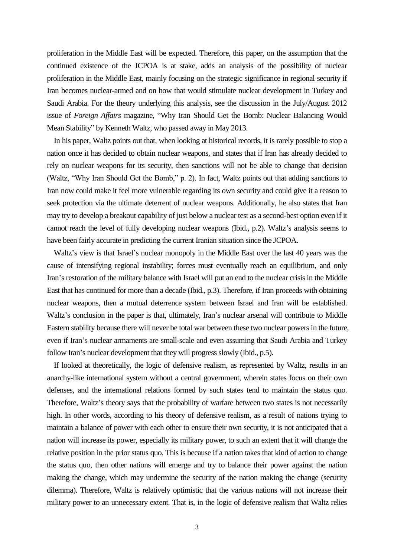proliferation in the Middle East will be expected. Therefore, this paper, on the assumption that the continued existence of the JCPOA is at stake, adds an analysis of the possibility of nuclear proliferation in the Middle East, mainly focusing on the strategic significance in regional security if Iran becomes nuclear-armed and on how that would stimulate nuclear development in Turkey and Saudi Arabia. For the theory underlying this analysis, see the discussion in the July/August 2012 issue of *Foreign Affairs* magazine, "Why Iran Should Get the Bomb: Nuclear Balancing Would Mean Stability" by Kenneth Waltz, who passed away in May 2013.

In his paper, Waltz points out that, when looking at historical records, it is rarely possible to stop a nation once it has decided to obtain nuclear weapons, and states that if Iran has already decided to rely on nuclear weapons for its security, then sanctions will not be able to change that decision (Waltz, "Why Iran Should Get the Bomb," p. 2). In fact, Waltz points out that adding sanctions to Iran now could make it feel more vulnerable regarding its own security and could give it a reason to seek protection via the ultimate deterrent of nuclear weapons. Additionally, he also states that Iran may try to develop a breakout capability of just below a nuclear test as a second-best option even if it cannot reach the level of fully developing nuclear weapons (Ibid., p.2). Waltz's analysis seems to have been fairly accurate in predicting the current Iranian situation since the JCPOA.

Waltz's view is that Israel's nuclear monopoly in the Middle East over the last 40 years was the cause of intensifying regional instability; forces must eventually reach an equilibrium, and only Iran's restoration of the military balance with Israel will put an end to the nuclear crisis in the Middle East that has continued for more than a decade (Ibid., p.3). Therefore, if Iran proceeds with obtaining nuclear weapons, then a mutual deterrence system between Israel and Iran will be established. Waltz's conclusion in the paper is that, ultimately, Iran's nuclear arsenal will contribute to Middle Eastern stability because there will never be total war between these two nuclear powers in the future, even if Iran's nuclear armaments are small-scale and even assuming that Saudi Arabia and Turkey follow Iran's nuclear development that they will progress slowly (Ibid., p.5).

If looked at theoretically, the logic of defensive realism, as represented by Waltz, results in an anarchy-like international system without a central government, wherein states focus on their own defenses, and the international relations formed by such states tend to maintain the status quo. Therefore, Waltz's theory says that the probability of warfare between two states is not necessarily high. In other words, according to his theory of defensive realism, as a result of nations trying to maintain a balance of power with each other to ensure their own security, it is not anticipated that a nation will increase its power, especially its military power, to such an extent that it will change the relative position in the prior status quo. This is because if a nation takes that kind of action to change the status quo, then other nations will emerge and try to balance their power against the nation making the change, which may undermine the security of the nation making the change (security dilemma). Therefore, Waltz is relatively optimistic that the various nations will not increase their military power to an unnecessary extent. That is, in the logic of defensive realism that Waltz relies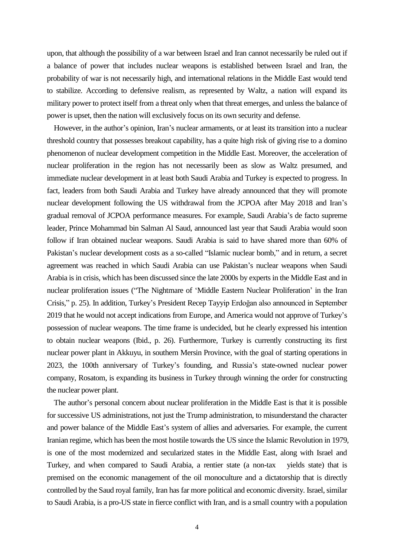upon, that although the possibility of a war between Israel and Iran cannot necessarily be ruled out if a balance of power that includes nuclear weapons is established between Israel and Iran, the probability of war is not necessarily high, and international relations in the Middle East would tend to stabilize. According to defensive realism, as represented by Waltz, a nation will expand its military power to protect itself from a threat only when that threat emerges, and unless the balance of power is upset, then the nation will exclusively focus on its own security and defense.

However, in the author's opinion, Iran's nuclear armaments, or at least its transition into a nuclear threshold country that possesses breakout capability, has a quite high risk of giving rise to a domino phenomenon of nuclear development competition in the Middle East. Moreover, the acceleration of nuclear proliferation in the region has not necessarily been as slow as Waltz presumed, and immediate nuclear development in at least both Saudi Arabia and Turkey is expected to progress. In fact, leaders from both Saudi Arabia and Turkey have already announced that they will promote nuclear development following the US withdrawal from the JCPOA after May 2018 and Iran's gradual removal of JCPOA performance measures. For example, Saudi Arabia's de facto supreme leader, Prince Mohammad bin Salman Al Saud, announced last year that Saudi Arabia would soon follow if Iran obtained nuclear weapons. Saudi Arabia is said to have shared more than 60% of Pakistan's nuclear development costs as a so-called "Islamic nuclear bomb," and in return, a secret agreement was reached in which Saudi Arabia can use Pakistan's nuclear weapons when Saudi Arabia is in crisis, which has been discussed since the late 2000s by experts in the Middle East and in nuclear proliferation issues ("The Nightmare of 'Middle Eastern Nuclear Proliferation' in the Iran Crisis," p. 25). In addition, Turkey's President Recep Tayyip Erdoğan also announced in September 2019 that he would not accept indications from Europe, and America would not approve of Turkey's possession of nuclear weapons. The time frame is undecided, but he clearly expressed his intention to obtain nuclear weapons (Ibid., p. 26). Furthermore, Turkey is currently constructing its first nuclear power plant in Akkuyu, in southern Mersin Province, with the goal of starting operations in 2023, the 100th anniversary of Turkey's founding, and Russia's state-owned nuclear power company, Rosatom, is expanding its business in Turkey through winning the order for constructing the nuclear power plant.

The author's personal concern about nuclear proliferation in the Middle East is that it is possible for successive US administrations, not just the Trump administration, to misunderstand the character and power balance of the Middle East's system of allies and adversaries. For example, the current Iranian regime, which has been the most hostile towards the US since the Islamic Revolution in 1979, is one of the most modernized and secularized states in the Middle East, along with Israel and Turkey, and when compared to Saudi Arabia, a rentier state (a non-tax yields state) that is premised on the economic management of the oil monoculture and a dictatorship that is directly controlled by the Saud royal family, Iran has far more political and economic diversity. Israel, similar to Saudi Arabia, is a pro-US state in fierce conflict with Iran, and is a small country with a population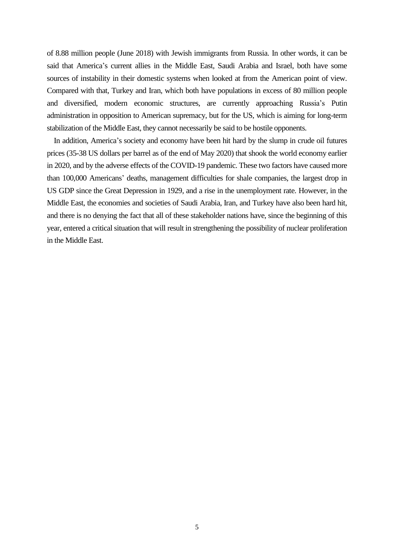of 8.88 million people (June 2018) with Jewish immigrants from Russia. In other words, it can be said that America's current allies in the Middle East, Saudi Arabia and Israel, both have some sources of instability in their domestic systems when looked at from the American point of view. Compared with that, Turkey and Iran, which both have populations in excess of 80 million people and diversified, modern economic structures, are currently approaching Russia's Putin administration in opposition to American supremacy, but for the US, which is aiming for long-term stabilization of the Middle East, they cannot necessarily be said to be hostile opponents.

In addition, America's society and economy have been hit hard by the slump in crude oil futures prices (35-38 US dollars per barrel as of the end of May 2020) that shook the world economy earlier in 2020, and by the adverse effects of the COVID-19 pandemic. These two factors have caused more than 100,000 Americans' deaths, management difficulties for shale companies, the largest drop in US GDP since the Great Depression in 1929, and a rise in the unemployment rate. However, in the Middle East, the economies and societies of Saudi Arabia, Iran, and Turkey have also been hard hit, and there is no denying the fact that all of these stakeholder nations have, since the beginning of this year, entered a critical situation that will result in strengthening the possibility of nuclear proliferation in the Middle East.